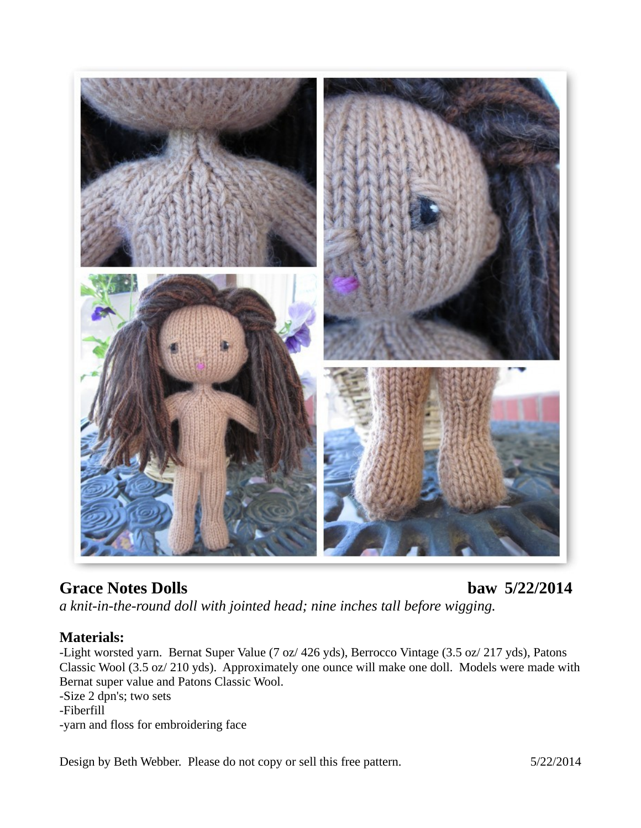

# **Grace Notes Dolls baw 5/22/2014**

*a knit-in-the-round doll with jointed head; nine inches tall before wigging.*

## **Materials:**

-Light worsted yarn. Bernat Super Value (7 oz/ 426 yds), Berrocco Vintage (3.5 oz/ 217 yds), Patons Classic Wool (3.5 oz/ 210 yds). Approximately one ounce will make one doll. Models were made with Bernat super value and Patons Classic Wool.

-Size 2 dpn's; two sets

- -Fiberfill
- -yarn and floss for embroidering face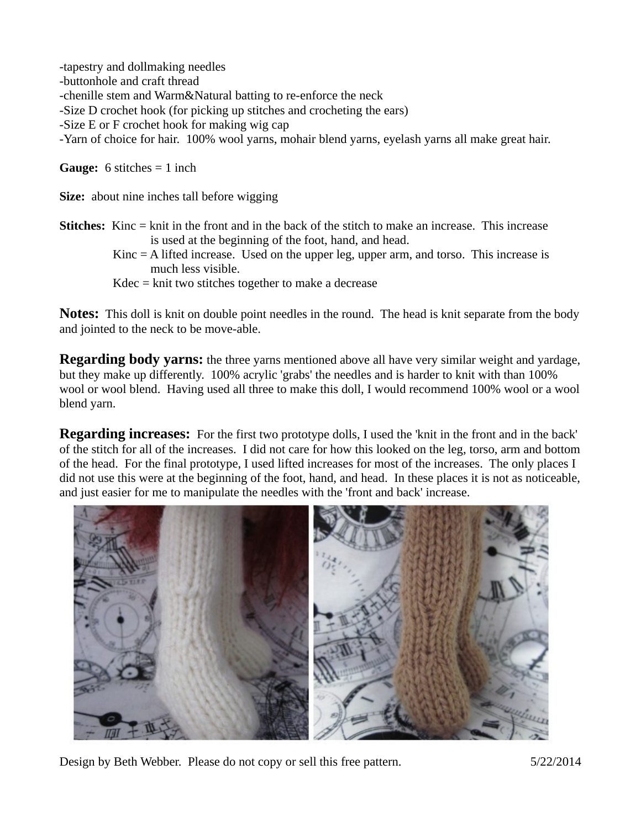-tapestry and dollmaking needles -buttonhole and craft thread -chenille stem and Warm&Natural batting to re-enforce the neck -Size D crochet hook (for picking up stitches and crocheting the ears) -Size E or F crochet hook for making wig cap -Yarn of choice for hair. 100% wool yarns, mohair blend yarns, eyelash yarns all make great hair. **Gauge:** 6 stitches = 1 inch

**Size:** about nine inches tall before wigging

**Stitches:** Kinc = knit in the front and in the back of the stitch to make an increase. This increase is used at the beginning of the foot, hand, and head.

- Kinc  $=$  A lifted increase. Used on the upper leg, upper arm, and torso. This increase is much less visible.
- $K$ dec = knit two stitches together to make a decrease

**Notes:** This doll is knit on double point needles in the round. The head is knit separate from the body and jointed to the neck to be move-able.

**Regarding body yarns:** the three yarns mentioned above all have very similar weight and yardage, but they make up differently. 100% acrylic 'grabs' the needles and is harder to knit with than 100% wool or wool blend. Having used all three to make this doll, I would recommend 100% wool or a wool blend yarn.

**Regarding increases:** For the first two prototype dolls, I used the 'knit in the front and in the back' of the stitch for all of the increases. I did not care for how this looked on the leg, torso, arm and bottom of the head. For the final prototype, I used lifted increases for most of the increases. The only places I did not use this were at the beginning of the foot, hand, and head. In these places it is not as noticeable, and just easier for me to manipulate the needles with the 'front and back' increase.

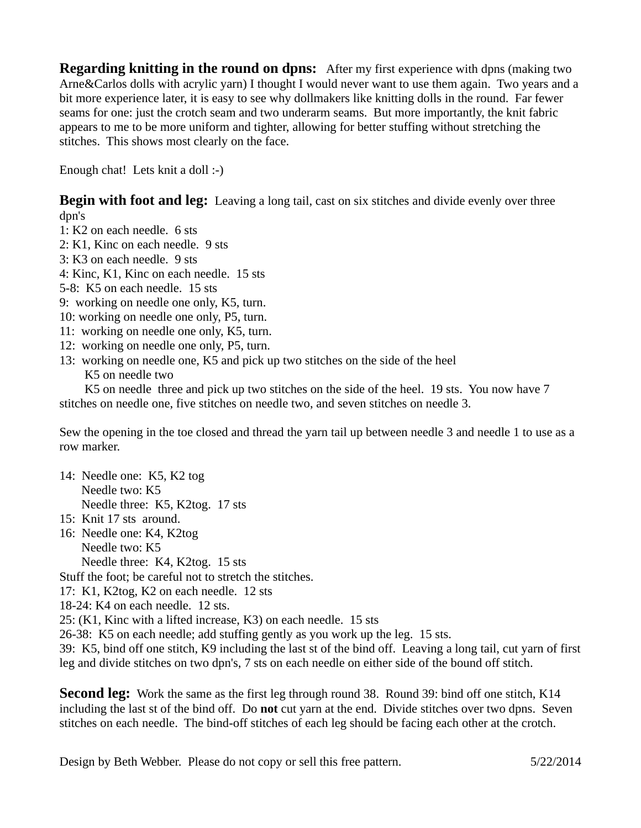**Regarding knitting in the round on dpns:** After my first experience with dpns (making two Arne&Carlos dolls with acrylic yarn) I thought I would never want to use them again. Two years and a bit more experience later, it is easy to see why dollmakers like knitting dolls in the round. Far fewer seams for one: just the crotch seam and two underarm seams. But more importantly, the knit fabric appears to me to be more uniform and tighter, allowing for better stuffing without stretching the stitches. This shows most clearly on the face.

Enough chat! Lets knit a doll :-)

**Begin with foot and leg:** Leaving a long tail, cast on six stitches and divide evenly over three dpn's

- 1: K2 on each needle. 6 sts
- 2: K1, Kinc on each needle. 9 sts
- 3: K3 on each needle. 9 sts
- 4: Kinc, K1, Kinc on each needle. 15 sts
- 5-8: K5 on each needle. 15 sts
- 9: working on needle one only, K5, turn.
- 10: working on needle one only, P5, turn.
- 11: working on needle one only, K5, turn.
- 12: working on needle one only, P5, turn.
- 13: working on needle one, K5 and pick up two stitches on the side of the heel K5 on needle two

 K5 on needle three and pick up two stitches on the side of the heel. 19 sts. You now have 7 stitches on needle one, five stitches on needle two, and seven stitches on needle 3.

Sew the opening in the toe closed and thread the yarn tail up between needle 3 and needle 1 to use as a row marker.

- 14: Needle one: K5, K2 tog Needle two: K5 Needle three: K5, K2tog. 17 sts
- 15: Knit 17 sts around.
- 16: Needle one: K4, K2tog Needle two: K5 Needle three: K4, K2tog. 15 sts

Stuff the foot; be careful not to stretch the stitches.

- 17: K1, K2tog, K2 on each needle. 12 sts
- 18-24: K4 on each needle. 12 sts.
- 25: (K1, Kinc with a lifted increase, K3) on each needle. 15 sts

26-38: K5 on each needle; add stuffing gently as you work up the leg. 15 sts.

39: K5, bind off one stitch, K9 including the last st of the bind off. Leaving a long tail, cut yarn of first leg and divide stitches on two dpn's, 7 sts on each needle on either side of the bound off stitch.

**Second leg:** Work the same as the first leg through round 38. Round 39: bind off one stitch, K14 including the last st of the bind off. Do **not** cut yarn at the end. Divide stitches over two dpns. Seven stitches on each needle. The bind-off stitches of each leg should be facing each other at the crotch.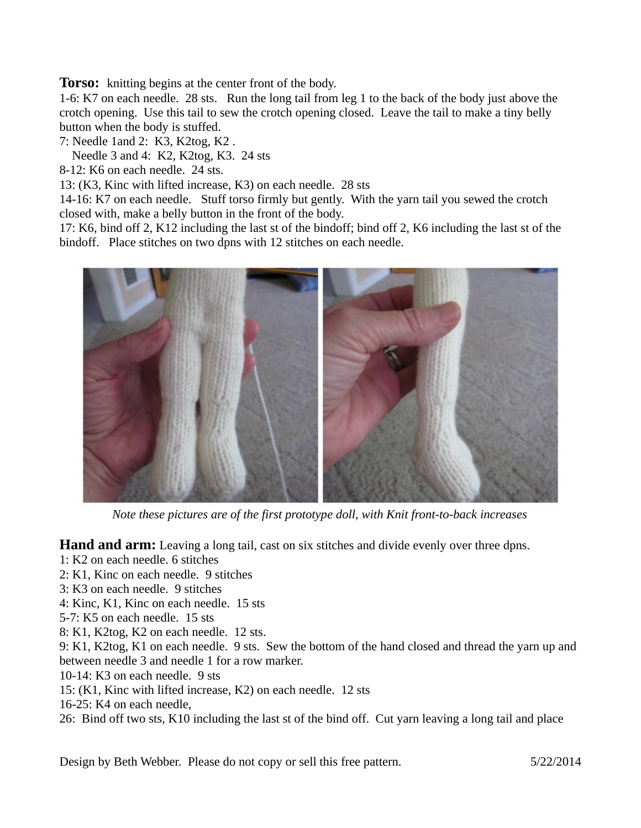**Torso:** knitting begins at the center front of the body.

1-6: K7 on each needle. 28 sts. Run the long tail from leg 1 to the back of the body just above the crotch opening. Use this tail to sew the crotch opening closed. Leave the tail to make a tiny belly button when the body is stuffed.

7: Needle 1and 2: K3, K2tog, K2 .

Needle 3 and 4: K2, K2tog, K3. 24 sts

8-12: K6 on each needle. 24 sts.

13: (K3, Kinc with lifted increase, K3) on each needle. 28 sts

14-16: K7 on each needle. Stuff torso firmly but gently. With the yarn tail you sewed the crotch closed with, make a belly button in the front of the body.

17: K6, bind off 2, K12 including the last st of the bindoff; bind off 2, K6 including the last st of the bindoff. Place stitches on two dpns with 12 stitches on each needle.



*Note these pictures are of the first prototype doll, with Knit front-to-back increases*

**Hand and arm:** Leaving a long tail, cast on six stitches and divide evenly over three dpns.

- 1: K2 on each needle. 6 stitches
- 2: K1, Kinc on each needle. 9 stitches
- 3: K3 on each needle. 9 stitches
- 4: Kinc, K1, Kinc on each needle. 15 sts
- 5-7: K5 on each needle. 15 sts
- 8: K1, K2tog, K2 on each needle. 12 sts.

9: K1, K2tog, K1 on each needle. 9 sts. Sew the bottom of the hand closed and thread the yarn up and between needle 3 and needle 1 for a row marker.

10-14: K3 on each needle. 9 sts

- 15: (K1, Kinc with lifted increase, K2) on each needle. 12 sts
- 16-25: K4 on each needle,

26: Bind off two sts, K10 including the last st of the bind off. Cut yarn leaving a long tail and place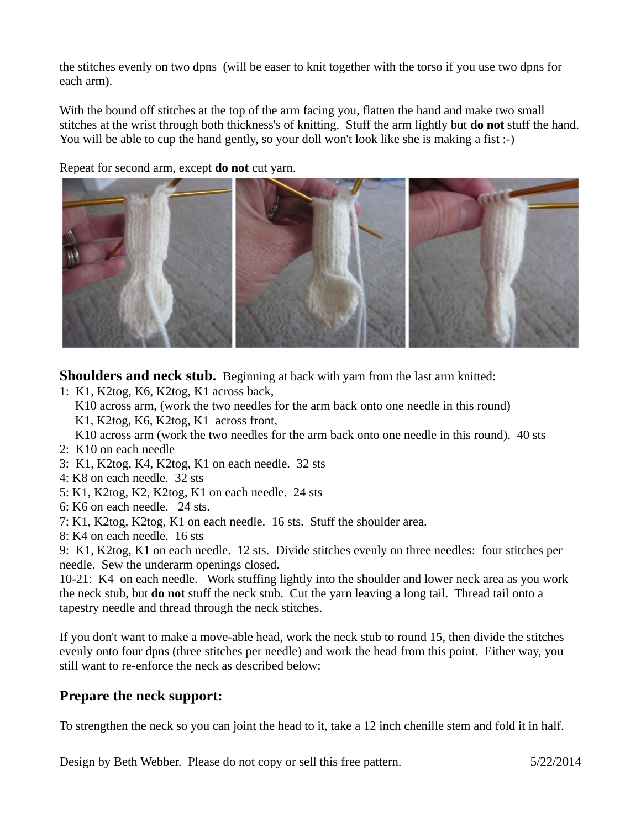the stitches evenly on two dpns (will be easer to knit together with the torso if you use two dpns for each arm).

With the bound off stitches at the top of the arm facing you, flatten the hand and make two small stitches at the wrist through both thickness's of knitting. Stuff the arm lightly but **do not** stuff the hand. You will be able to cup the hand gently, so your doll won't look like she is making a fist :-)

Repeat for second arm, except **do not** cut yarn.

![](_page_4_Picture_3.jpeg)

**Shoulders and neck stub.** Beginning at back with yarn from the last arm knitted:

- 1: K1, K2tog, K6, K2tog, K1 across back, K10 across arm, (work the two needles for the arm back onto one needle in this round) K1, K2tog, K6, K2tog, K1 across front,
	- K10 across arm (work the two needles for the arm back onto one needle in this round). 40 sts
- 2: K10 on each needle
- 3: K1, K2tog, K4, K2tog, K1 on each needle. 32 sts
- 4: K8 on each needle. 32 sts
- 5: K1, K2tog, K2, K2tog, K1 on each needle. 24 sts
- 6: K6 on each needle. 24 sts.
- 7: K1, K2tog, K2tog, K1 on each needle. 16 sts. Stuff the shoulder area.
- 8: K4 on each needle. 16 sts

9: K1, K2tog, K1 on each needle. 12 sts. Divide stitches evenly on three needles: four stitches per needle. Sew the underarm openings closed.

10-21: K4 on each needle. Work stuffing lightly into the shoulder and lower neck area as you work the neck stub, but **do not** stuff the neck stub. Cut the yarn leaving a long tail. Thread tail onto a tapestry needle and thread through the neck stitches.

If you don't want to make a move-able head, work the neck stub to round 15, then divide the stitches evenly onto four dpns (three stitches per needle) and work the head from this point. Either way, you still want to re-enforce the neck as described below:

### **Prepare the neck support:**

To strengthen the neck so you can joint the head to it, take a 12 inch chenille stem and fold it in half.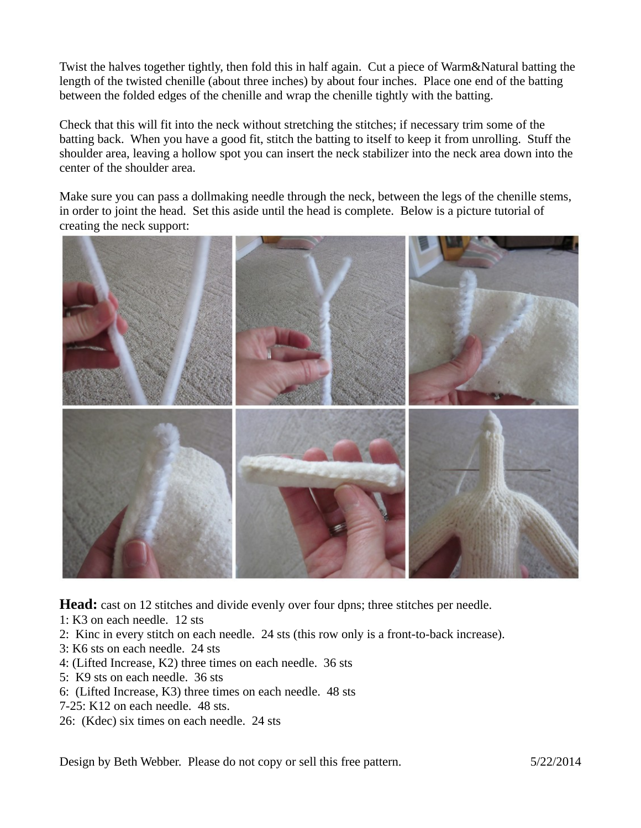Twist the halves together tightly, then fold this in half again. Cut a piece of Warm&Natural batting the length of the twisted chenille (about three inches) by about four inches. Place one end of the batting between the folded edges of the chenille and wrap the chenille tightly with the batting.

Check that this will fit into the neck without stretching the stitches; if necessary trim some of the batting back. When you have a good fit, stitch the batting to itself to keep it from unrolling. Stuff the shoulder area, leaving a hollow spot you can insert the neck stabilizer into the neck area down into the center of the shoulder area.

Make sure you can pass a dollmaking needle through the neck, between the legs of the chenille stems, in order to joint the head. Set this aside until the head is complete. Below is a picture tutorial of creating the neck support:

![](_page_5_Picture_3.jpeg)

**Head:** cast on 12 stitches and divide evenly over four dpns; three stitches per needle.

- 1: K3 on each needle. 12 sts
- 2: Kinc in every stitch on each needle. 24 sts (this row only is a front-to-back increase).
- 3: K6 sts on each needle. 24 sts
- 4: (Lifted Increase, K2) three times on each needle. 36 sts
- 5: K9 sts on each needle. 36 sts
- 6: (Lifted Increase, K3) three times on each needle. 48 sts
- 7-25: K12 on each needle. 48 sts.
- 26: (Kdec) six times on each needle. 24 sts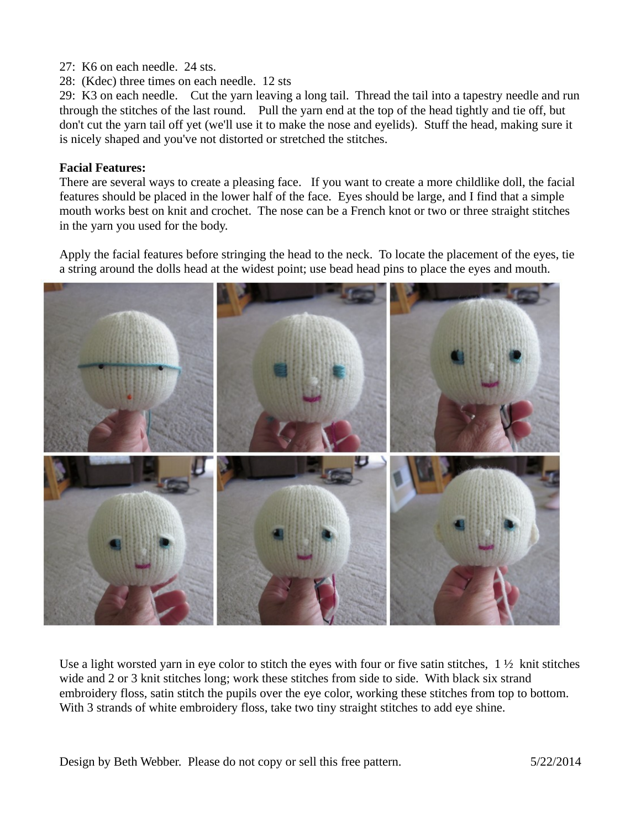- 27: K6 on each needle. 24 sts.
- 28: (Kdec) three times on each needle. 12 sts

29: K3 on each needle. Cut the yarn leaving a long tail. Thread the tail into a tapestry needle and run through the stitches of the last round. Pull the yarn end at the top of the head tightly and tie off, but don't cut the yarn tail off yet (we'll use it to make the nose and eyelids). Stuff the head, making sure it is nicely shaped and you've not distorted or stretched the stitches.

#### **Facial Features:**

There are several ways to create a pleasing face. If you want to create a more childlike doll, the facial features should be placed in the lower half of the face. Eyes should be large, and I find that a simple mouth works best on knit and crochet. The nose can be a French knot or two or three straight stitches in the yarn you used for the body.

Apply the facial features before stringing the head to the neck. To locate the placement of the eyes, tie a string around the dolls head at the widest point; use bead head pins to place the eyes and mouth.

![](_page_6_Picture_6.jpeg)

Use a light worsted yarn in eye color to stitch the eyes with four or five satin stitches,  $1\frac{1}{2}$  knit stitches wide and 2 or 3 knit stitches long; work these stitches from side to side. With black six strand embroidery floss, satin stitch the pupils over the eye color, working these stitches from top to bottom. With 3 strands of white embroidery floss, take two tiny straight stitches to add eye shine.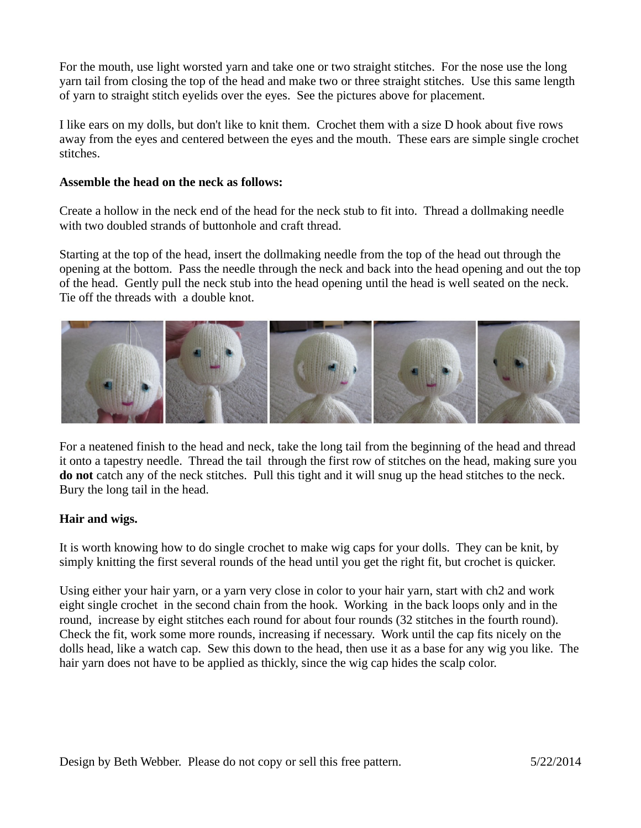For the mouth, use light worsted yarn and take one or two straight stitches. For the nose use the long yarn tail from closing the top of the head and make two or three straight stitches. Use this same length of yarn to straight stitch eyelids over the eyes. See the pictures above for placement.

I like ears on my dolls, but don't like to knit them. Crochet them with a size D hook about five rows away from the eyes and centered between the eyes and the mouth. These ears are simple single crochet stitches.

#### **Assemble the head on the neck as follows:**

Create a hollow in the neck end of the head for the neck stub to fit into. Thread a dollmaking needle with two doubled strands of buttonhole and craft thread.

Starting at the top of the head, insert the dollmaking needle from the top of the head out through the opening at the bottom. Pass the needle through the neck and back into the head opening and out the top of the head. Gently pull the neck stub into the head opening until the head is well seated on the neck. Tie off the threads with a double knot.

![](_page_7_Picture_5.jpeg)

For a neatened finish to the head and neck, take the long tail from the beginning of the head and thread it onto a tapestry needle. Thread the tail through the first row of stitches on the head, making sure you **do not** catch any of the neck stitches. Pull this tight and it will snug up the head stitches to the neck. Bury the long tail in the head.

#### **Hair and wigs.**

It is worth knowing how to do single crochet to make wig caps for your dolls. They can be knit, by simply knitting the first several rounds of the head until you get the right fit, but crochet is quicker.

Using either your hair yarn, or a yarn very close in color to your hair yarn, start with ch2 and work eight single crochet in the second chain from the hook. Working in the back loops only and in the round, increase by eight stitches each round for about four rounds (32 stitches in the fourth round). Check the fit, work some more rounds, increasing if necessary. Work until the cap fits nicely on the dolls head, like a watch cap. Sew this down to the head, then use it as a base for any wig you like. The hair yarn does not have to be applied as thickly, since the wig cap hides the scalp color.